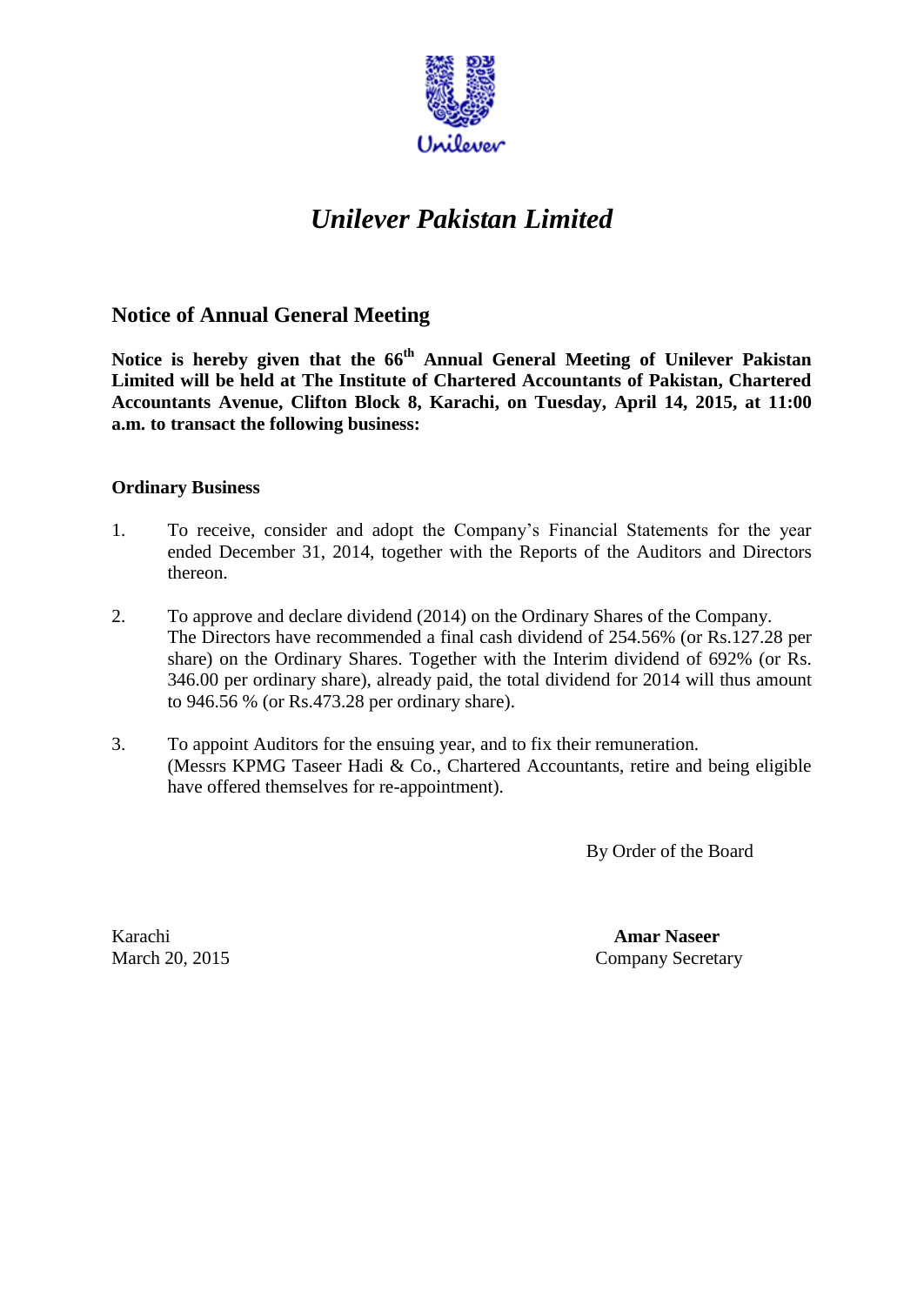

# *Unilever Pakistan Limited*

## **Notice of Annual General Meeting**

**Notice is hereby given that the 66 th Annual General Meeting of Unilever Pakistan Limited will be held at The Institute of Chartered Accountants of Pakistan, Chartered Accountants Avenue, Clifton Block 8, Karachi, on Tuesday, April 14, 2015, at 11:00 a.m. to transact the following business:**

#### **Ordinary Business**

- 1. To receive, consider and adopt the Company's Financial Statements for the year ended December 31, 2014, together with the Reports of the Auditors and Directors thereon.
- 2. To approve and declare dividend (2014) on the Ordinary Shares of the Company. The Directors have recommended a final cash dividend of 254.56% (or Rs.127.28 per share) on the Ordinary Shares. Together with the Interim dividend of 692% (or Rs. 346.00 per ordinary share), already paid, the total dividend for 2014 will thus amount to 946.56 % (or Rs.473.28 per ordinary share).
- 3. To appoint Auditors for the ensuing year, and to fix their remuneration. (Messrs KPMG Taseer Hadi & Co., Chartered Accountants, retire and being eligible have offered themselves for re-appointment).

By Order of the Board

Karachi **Amar Naseer** March 20, 2015 Company Secretary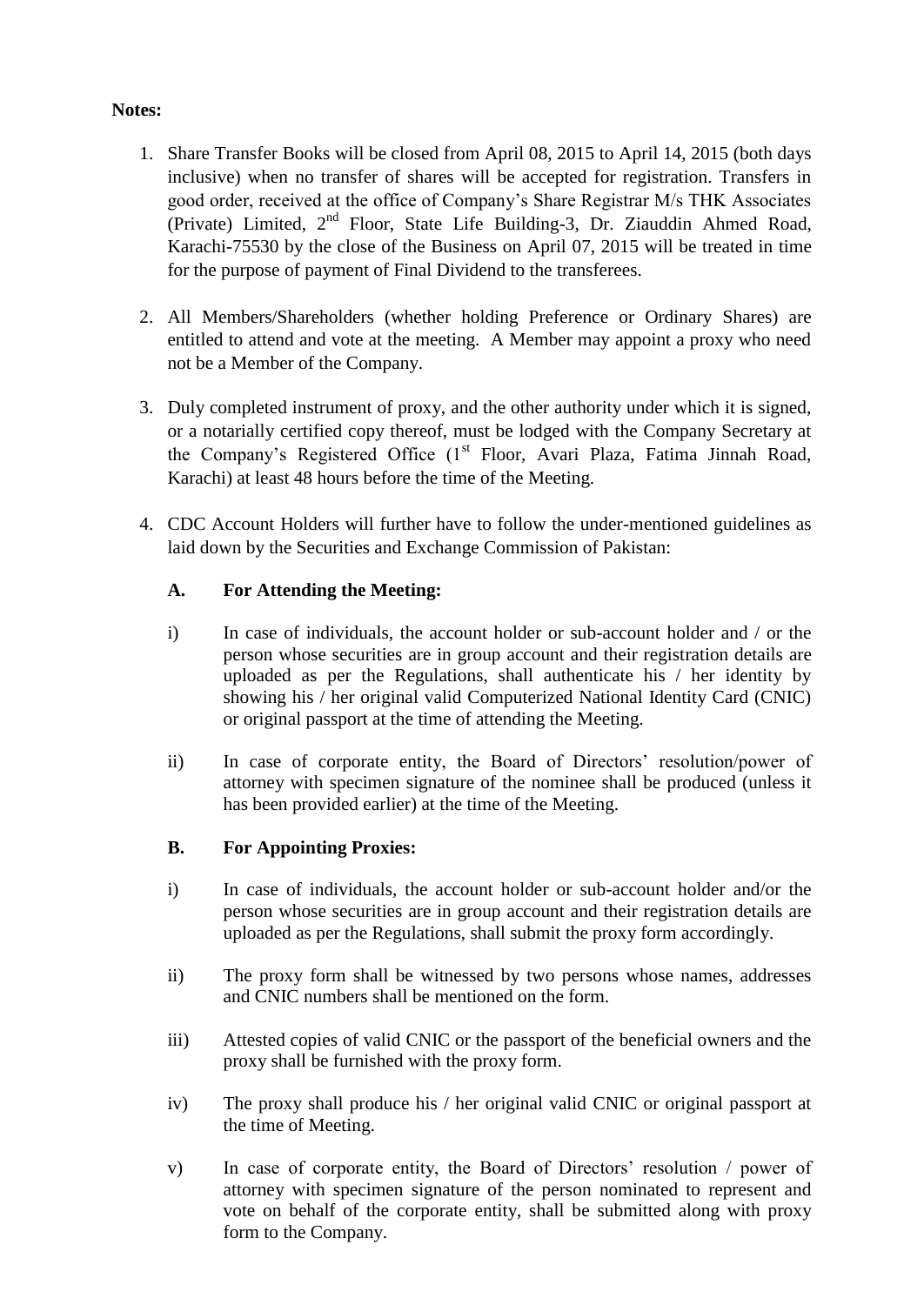#### **Notes:**

- 1. Share Transfer Books will be closed from April 08, 2015 to April 14, 2015 (both days inclusive) when no transfer of shares will be accepted for registration. Transfers in good order, received at the office of Company's Share Registrar M/s THK Associates (Private) Limited, 2<sup>nd</sup> Floor, State Life Building-3, Dr. Ziauddin Ahmed Road, Karachi-75530 by the close of the Business on April 07, 2015 will be treated in time for the purpose of payment of Final Dividend to the transferees.
- 2. All Members/Shareholders (whether holding Preference or Ordinary Shares) are entitled to attend and vote at the meeting. A Member may appoint a proxy who need not be a Member of the Company.
- 3. Duly completed instrument of proxy, and the other authority under which it is signed, or a notarially certified copy thereof, must be lodged with the Company Secretary at the Company's Registered Office (1<sup>st</sup> Floor, Avari Plaza, Fatima Jinnah Road, Karachi) at least 48 hours before the time of the Meeting.
- 4. CDC Account Holders will further have to follow the under-mentioned guidelines as laid down by the Securities and Exchange Commission of Pakistan:

## **A. For Attending the Meeting:**

- i) In case of individuals, the account holder or sub-account holder and / or the person whose securities are in group account and their registration details are uploaded as per the Regulations, shall authenticate his / her identity by showing his / her original valid Computerized National Identity Card (CNIC) or original passport at the time of attending the Meeting.
- ii) In case of corporate entity, the Board of Directors' resolution/power of attorney with specimen signature of the nominee shall be produced (unless it has been provided earlier) at the time of the Meeting.

## **B. For Appointing Proxies:**

- i) In case of individuals, the account holder or sub-account holder and/or the person whose securities are in group account and their registration details are uploaded as per the Regulations, shall submit the proxy form accordingly.
- ii) The proxy form shall be witnessed by two persons whose names, addresses and CNIC numbers shall be mentioned on the form.
- iii) Attested copies of valid CNIC or the passport of the beneficial owners and the proxy shall be furnished with the proxy form.
- iv) The proxy shall produce his / her original valid CNIC or original passport at the time of Meeting.
- v) In case of corporate entity, the Board of Directors' resolution / power of attorney with specimen signature of the person nominated to represent and vote on behalf of the corporate entity, shall be submitted along with proxy form to the Company.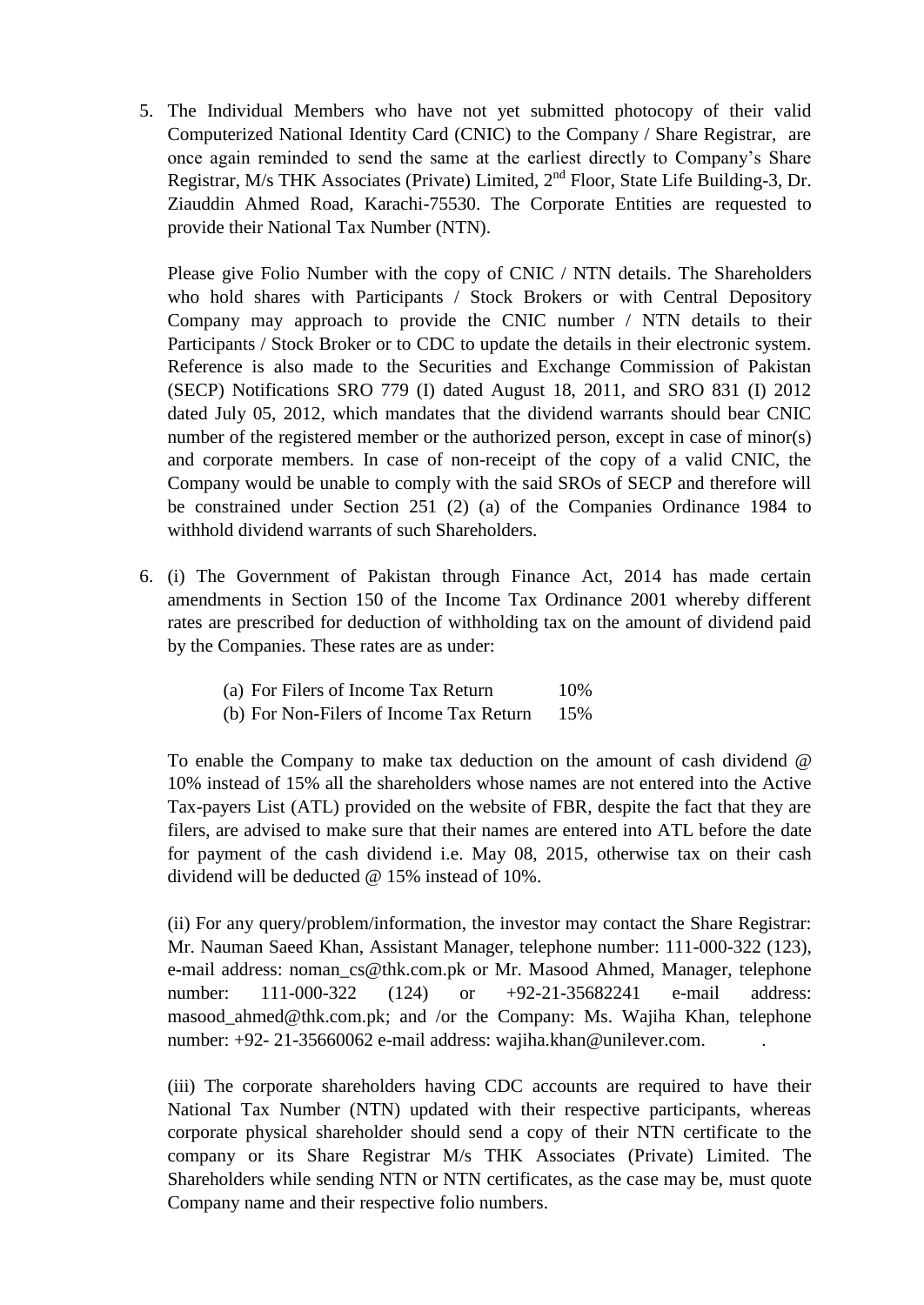5. The Individual Members who have not yet submitted photocopy of their valid Computerized National Identity Card (CNIC) to the Company / Share Registrar, are once again reminded to send the same at the earliest directly to Company's Share Registrar, M/s THK Associates (Private) Limited,  $2<sup>nd</sup>$  Floor, State Life Building-3, Dr. Ziauddin Ahmed Road, Karachi-75530. The Corporate Entities are requested to provide their National Tax Number (NTN).

Please give Folio Number with the copy of CNIC / NTN details. The Shareholders who hold shares with Participants / Stock Brokers or with Central Depository Company may approach to provide the CNIC number / NTN details to their Participants / Stock Broker or to CDC to update the details in their electronic system. Reference is also made to the Securities and Exchange Commission of Pakistan (SECP) Notifications SRO 779 (I) dated August 18, 2011, and SRO 831 (I) 2012 dated July 05, 2012, which mandates that the dividend warrants should bear CNIC number of the registered member or the authorized person, except in case of minor(s) and corporate members. In case of non-receipt of the copy of a valid CNIC, the Company would be unable to comply with the said SROs of SECP and therefore will be constrained under Section 251 (2) (a) of the Companies Ordinance 1984 to withhold dividend warrants of such Shareholders.

- 6. (i) The Government of Pakistan through Finance Act, 2014 has made certain amendments in Section 150 of the Income Tax Ordinance 2001 whereby different rates are prescribed for deduction of withholding tax on the amount of dividend paid by the Companies. These rates are as under:
	- (a) For Filers of Income Tax Return 10%
	- (b) For Non-Filers of Income Tax Return 15%

To enable the Company to make tax deduction on the amount of cash dividend @ 10% instead of 15% all the shareholders whose names are not entered into the Active Tax-payers List (ATL) provided on the website of FBR, despite the fact that they are filers, are advised to make sure that their names are entered into ATL before the date for payment of the cash dividend i.e. May 08, 2015, otherwise tax on their cash dividend will be deducted @ 15% instead of 10%.

(ii) For any query/problem/information, the investor may contact the Share Registrar: Mr. Nauman Saeed Khan, Assistant Manager, telephone number: 111-000-322 (123), e-mail address: noman\_c[s@thk.com.pk](mailto:aa@thk.com.pk) or Mr. Masood Ahmed, Manager, telephone number: 111-000-322 (124) or +92-21-35682241 e-mail address: masood ahmed@thk.com.pk; and /or the Company: Ms. Wajiha Khan, telephone number: +92- 21-35660062 e-mail address: [wajiha.khan@unilever.com.](mailto:wajiha.khan@unilever.com)

(iii) The corporate shareholders having CDC accounts are required to have their National Tax Number (NTN) updated with their respective participants, whereas corporate physical shareholder should send a copy of their NTN certificate to the company or its Share Registrar M/s THK Associates (Private) Limited. The Shareholders while sending NTN or NTN certificates, as the case may be, must quote Company name and their respective folio numbers.